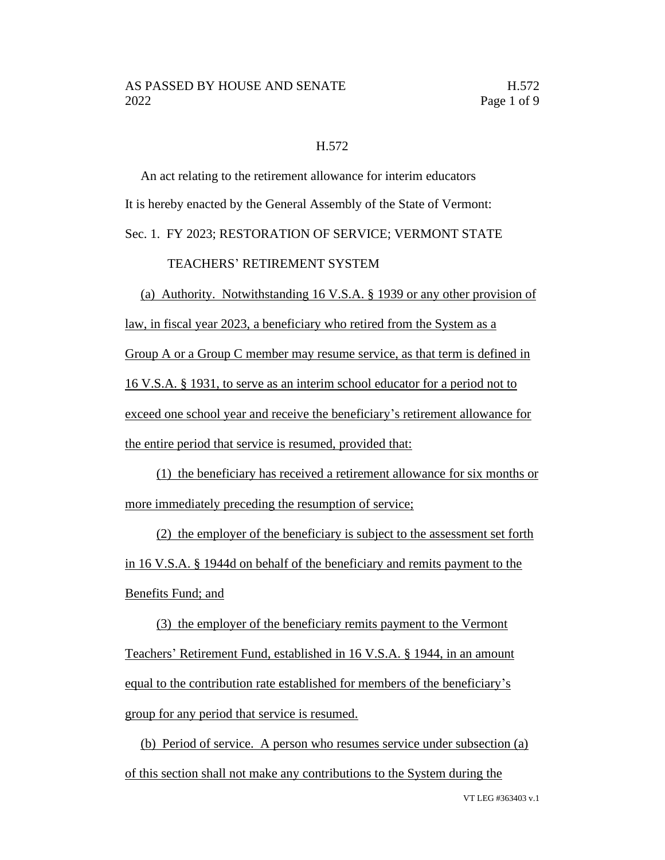## H.572

An act relating to the retirement allowance for interim educators It is hereby enacted by the General Assembly of the State of Vermont: Sec. 1. FY 2023; RESTORATION OF SERVICE; VERMONT STATE

# TEACHERS' RETIREMENT SYSTEM

(a) Authority. Notwithstanding 16 V.S.A. § 1939 or any other provision of law, in fiscal year 2023, a beneficiary who retired from the System as a Group A or a Group C member may resume service, as that term is defined in 16 V.S.A. § 1931, to serve as an interim school educator for a period not to exceed one school year and receive the beneficiary's retirement allowance for the entire period that service is resumed, provided that:

(1) the beneficiary has received a retirement allowance for six months or more immediately preceding the resumption of service;

(2) the employer of the beneficiary is subject to the assessment set forth in 16 V.S.A. § 1944d on behalf of the beneficiary and remits payment to the Benefits Fund; and

(3) the employer of the beneficiary remits payment to the Vermont Teachers' Retirement Fund, established in 16 V.S.A. § 1944, in an amount equal to the contribution rate established for members of the beneficiary's group for any period that service is resumed.

(b) Period of service. A person who resumes service under subsection (a) of this section shall not make any contributions to the System during the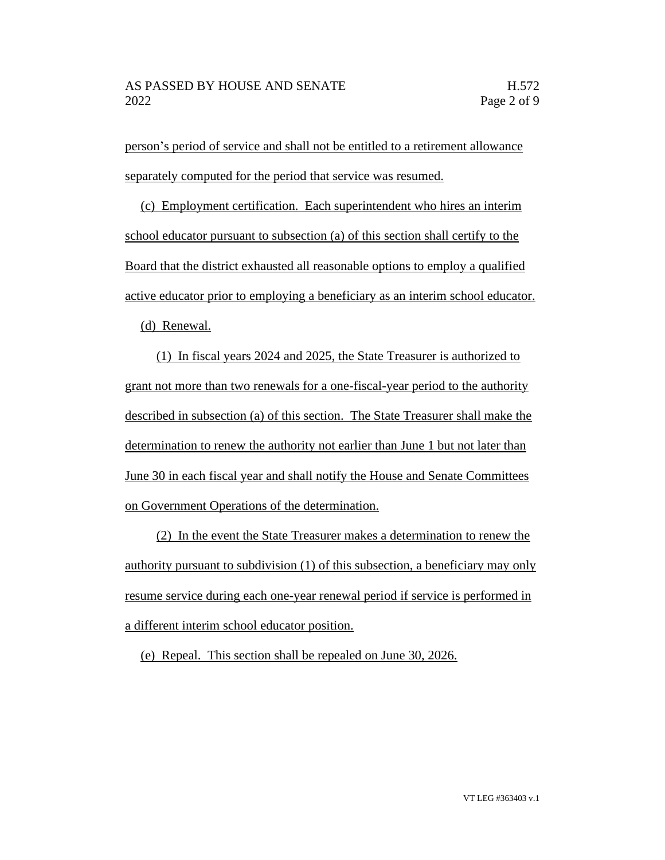person's period of service and shall not be entitled to a retirement allowance separately computed for the period that service was resumed.

(c) Employment certification. Each superintendent who hires an interim school educator pursuant to subsection (a) of this section shall certify to the Board that the district exhausted all reasonable options to employ a qualified active educator prior to employing a beneficiary as an interim school educator.

(d) Renewal.

(1) In fiscal years 2024 and 2025, the State Treasurer is authorized to grant not more than two renewals for a one-fiscal-year period to the authority described in subsection (a) of this section. The State Treasurer shall make the determination to renew the authority not earlier than June 1 but not later than June 30 in each fiscal year and shall notify the House and Senate Committees on Government Operations of the determination.

(2) In the event the State Treasurer makes a determination to renew the authority pursuant to subdivision (1) of this subsection, a beneficiary may only resume service during each one-year renewal period if service is performed in a different interim school educator position.

(e) Repeal. This section shall be repealed on June 30, 2026.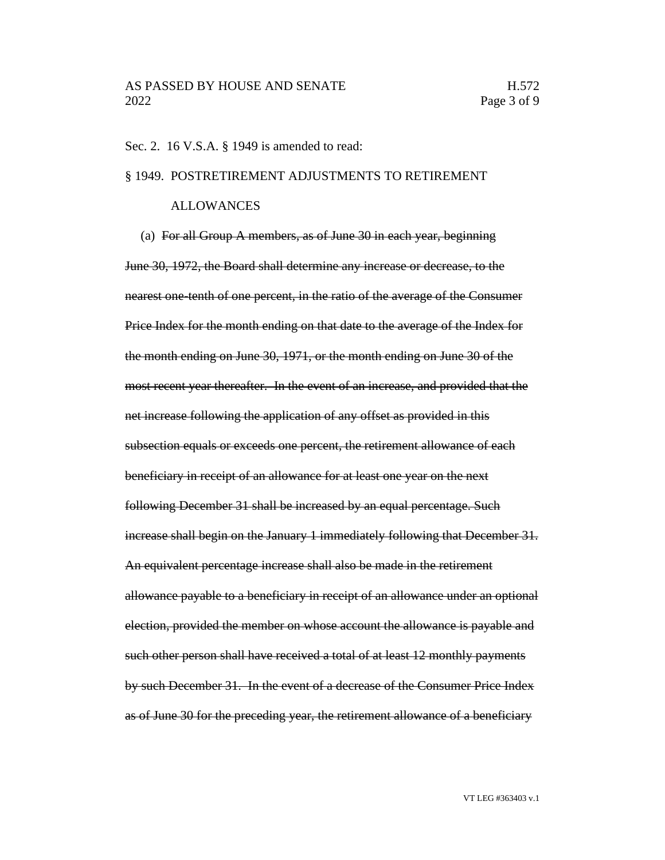## Sec. 2. 16 V.S.A. § 1949 is amended to read:

#### § 1949. POSTRETIREMENT ADJUSTMENTS TO RETIREMENT

#### ALLOWANCES

(a) For all Group A members, as of June 30 in each year, beginning June 30, 1972, the Board shall determine any increase or decrease, to the nearest one-tenth of one percent, in the ratio of the average of the Consumer Price Index for the month ending on that date to the average of the Index for the month ending on June 30, 1971, or the month ending on June 30 of the most recent year thereafter. In the event of an increase, and provided that the net increase following the application of any offset as provided in this subsection equals or exceeds one percent, the retirement allowance of each beneficiary in receipt of an allowance for at least one year on the next following December 31 shall be increased by an equal percentage. Such increase shall begin on the January 1 immediately following that December 31. An equivalent percentage increase shall also be made in the retirement allowance payable to a beneficiary in receipt of an allowance under an optional election, provided the member on whose account the allowance is payable and such other person shall have received a total of at least 12 monthly payments by such December 31. In the event of a decrease of the Consumer Price Index as of June 30 for the preceding year, the retirement allowance of a beneficiary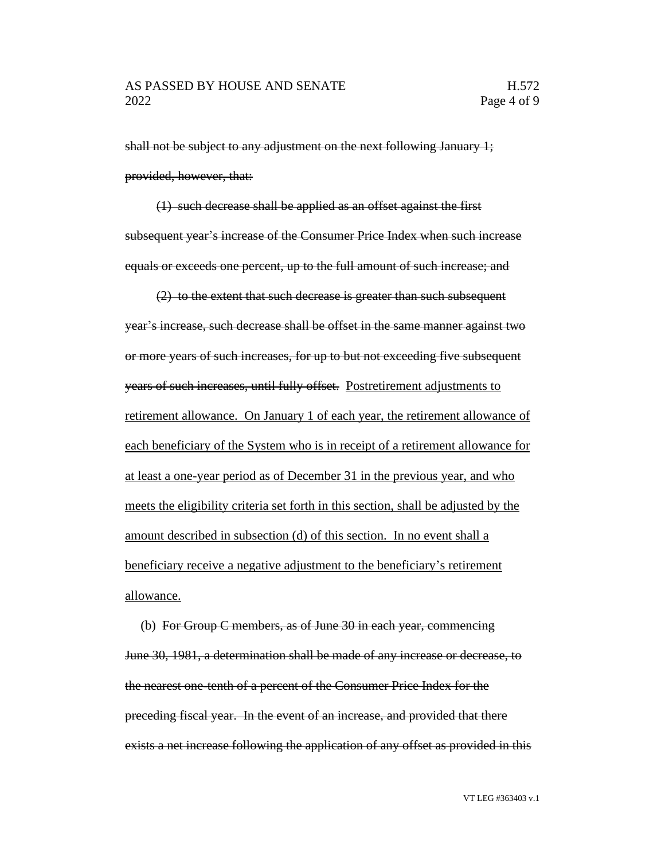shall not be subject to any adjustment on the next following January 1; provided, however, that:

(1) such decrease shall be applied as an offset against the first subsequent year's increase of the Consumer Price Index when such increase equals or exceeds one percent, up to the full amount of such increase; and

(2) to the extent that such decrease is greater than such subsequent year's increase, such decrease shall be offset in the same manner against two or more years of such increases, for up to but not exceeding five subsequent years of such increases, until fully offset. Postretirement adjustments to retirement allowance. On January 1 of each year, the retirement allowance of each beneficiary of the System who is in receipt of a retirement allowance for at least a one-year period as of December 31 in the previous year, and who meets the eligibility criteria set forth in this section, shall be adjusted by the amount described in subsection (d) of this section. In no event shall a beneficiary receive a negative adjustment to the beneficiary's retirement allowance.

(b) For Group C members, as of June 30 in each year, commencing June 30, 1981, a determination shall be made of any increase or decrease, to the nearest one-tenth of a percent of the Consumer Price Index for the preceding fiscal year. In the event of an increase, and provided that there exists a net increase following the application of any offset as provided in this

VT LEG #363403 v.1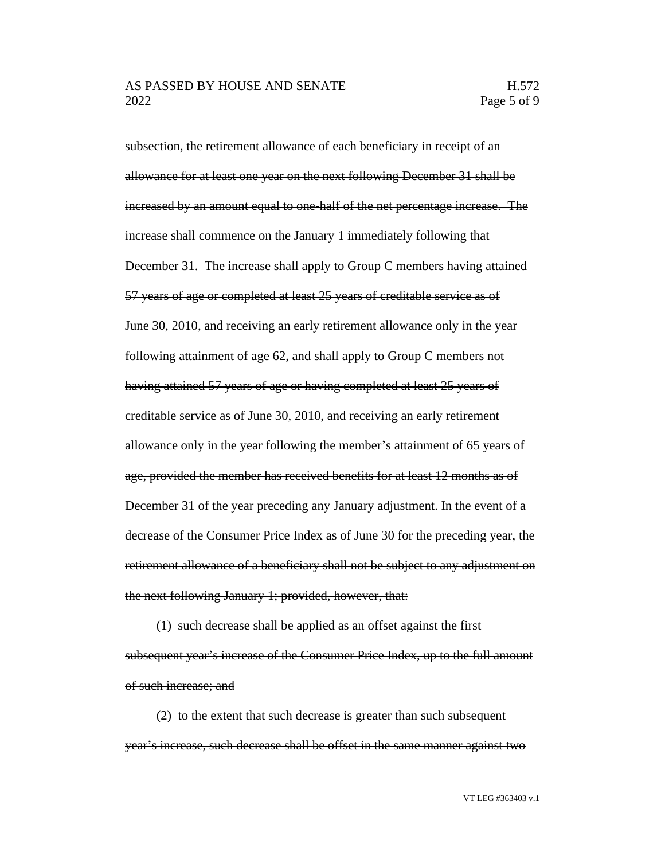subsection, the retirement allowance of each beneficiary in receipt of an allowance for at least one year on the next following December 31 shall be increased by an amount equal to one-half of the net percentage increase. The increase shall commence on the January 1 immediately following that December 31. The increase shall apply to Group C members having attained 57 years of age or completed at least 25 years of creditable service as of June 30, 2010, and receiving an early retirement allowance only in the year following attainment of age 62, and shall apply to Group C members not having attained 57 years of age or having completed at least 25 years of creditable service as of June 30, 2010, and receiving an early retirement allowance only in the year following the member's attainment of 65 years of age, provided the member has received benefits for at least 12 months as of December 31 of the year preceding any January adjustment. In the event of a decrease of the Consumer Price Index as of June 30 for the preceding year, the retirement allowance of a beneficiary shall not be subject to any adjustment on the next following January 1; provided, however, that:

(1) such decrease shall be applied as an offset against the first subsequent year's increase of the Consumer Price Index, up to the full amount of such increase; and

(2) to the extent that such decrease is greater than such subsequent year's increase, such decrease shall be offset in the same manner against two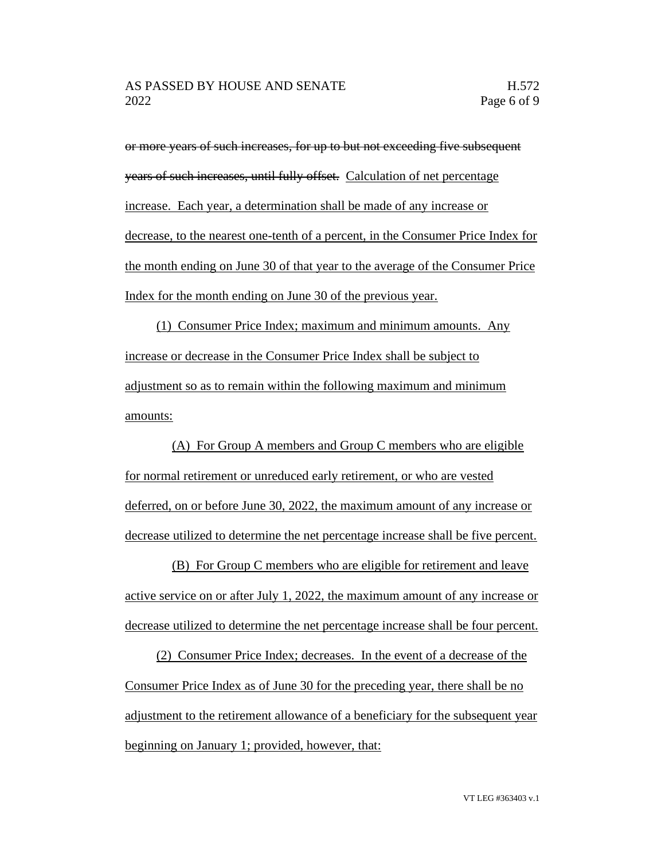or more years of such increases, for up to but not exceeding five subsequent years of such increases, until fully offset. Calculation of net percentage increase. Each year, a determination shall be made of any increase or decrease, to the nearest one-tenth of a percent, in the Consumer Price Index for the month ending on June 30 of that year to the average of the Consumer Price Index for the month ending on June 30 of the previous year.

(1) Consumer Price Index; maximum and minimum amounts. Any increase or decrease in the Consumer Price Index shall be subject to adjustment so as to remain within the following maximum and minimum amounts:

(A) For Group A members and Group C members who are eligible for normal retirement or unreduced early retirement, or who are vested deferred, on or before June 30, 2022, the maximum amount of any increase or decrease utilized to determine the net percentage increase shall be five percent.

(B) For Group C members who are eligible for retirement and leave active service on or after July 1, 2022, the maximum amount of any increase or decrease utilized to determine the net percentage increase shall be four percent.

(2) Consumer Price Index; decreases. In the event of a decrease of the Consumer Price Index as of June 30 for the preceding year, there shall be no adjustment to the retirement allowance of a beneficiary for the subsequent year beginning on January 1; provided, however, that: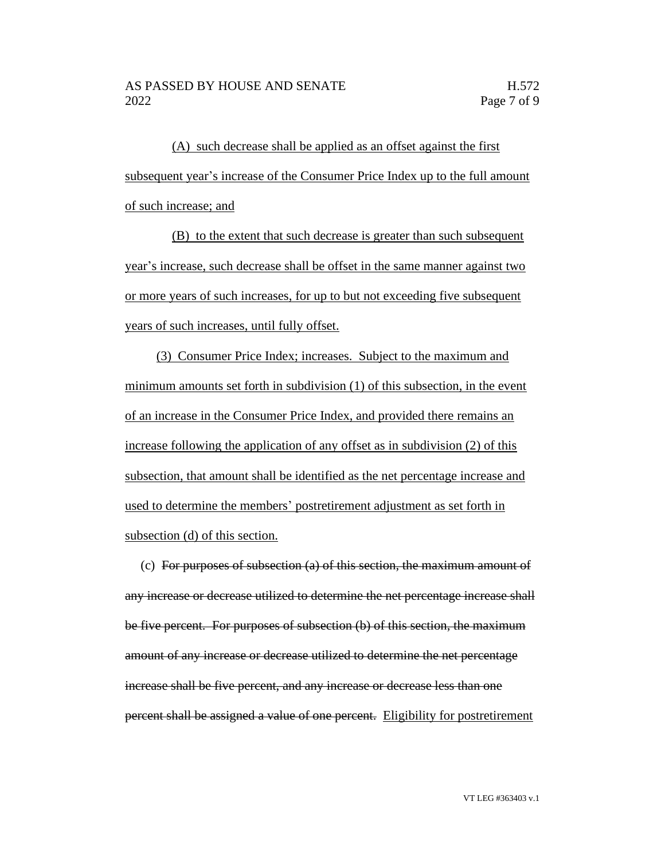(A) such decrease shall be applied as an offset against the first subsequent year's increase of the Consumer Price Index up to the full amount of such increase; and

(B) to the extent that such decrease is greater than such subsequent year's increase, such decrease shall be offset in the same manner against two or more years of such increases, for up to but not exceeding five subsequent years of such increases, until fully offset.

(3) Consumer Price Index; increases. Subject to the maximum and minimum amounts set forth in subdivision (1) of this subsection, in the event of an increase in the Consumer Price Index, and provided there remains an increase following the application of any offset as in subdivision (2) of this subsection, that amount shall be identified as the net percentage increase and used to determine the members' postretirement adjustment as set forth in subsection (d) of this section.

(c) For purposes of subsection (a) of this section, the maximum amount of any increase or decrease utilized to determine the net percentage increase shall be five percent. For purposes of subsection (b) of this section, the maximum amount of any increase or decrease utilized to determine the net percentage increase shall be five percent, and any increase or decrease less than one percent shall be assigned a value of one percent. Eligibility for postretirement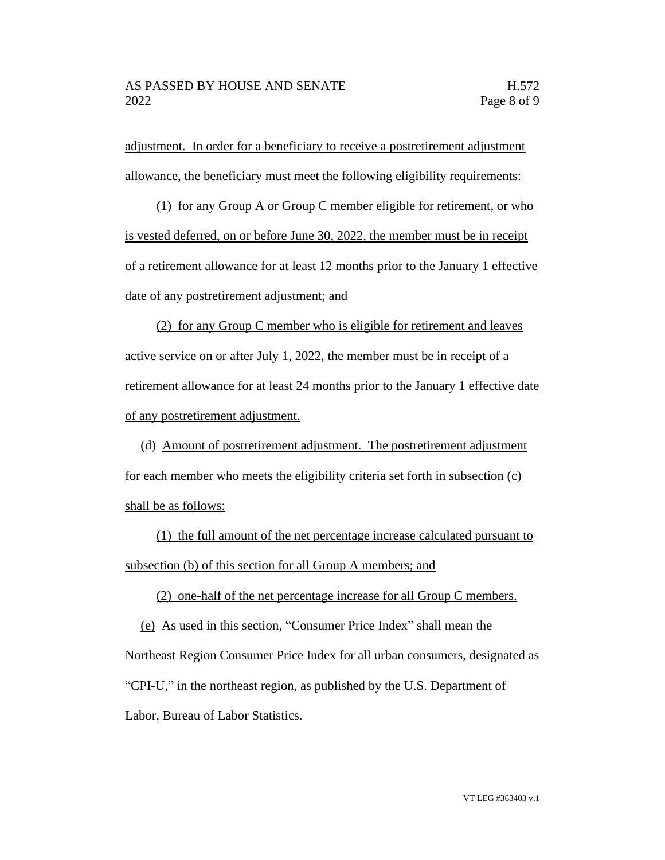adjustment. In order for a beneficiary to receive a postretirement adjustment allowance, the beneficiary must meet the following eligibility requirements:

(1) for any Group A or Group C member eligible for retirement, or who is vested deferred, on or before June 30, 2022, the member must be in receipt of a retirement allowance for at least 12 months prior to the January 1 effective date of any postretirement adjustment; and

(2) for any Group C member who is eligible for retirement and leaves active service on or after July 1, 2022, the member must be in receipt of a retirement allowance for at least 24 months prior to the January 1 effective date of any postretirement adjustment.

(d) Amount of postretirement adjustment. The postretirement adjustment for each member who meets the eligibility criteria set forth in subsection (c) shall be as follows:

(1) the full amount of the net percentage increase calculated pursuant to subsection (b) of this section for all Group A members; and

(2) one-half of the net percentage increase for all Group C members.

(e) As used in this section, "Consumer Price Index" shall mean the Northeast Region Consumer Price Index for all urban consumers, designated as "CPI-U," in the northeast region, as published by the U.S. Department of Labor, Bureau of Labor Statistics.